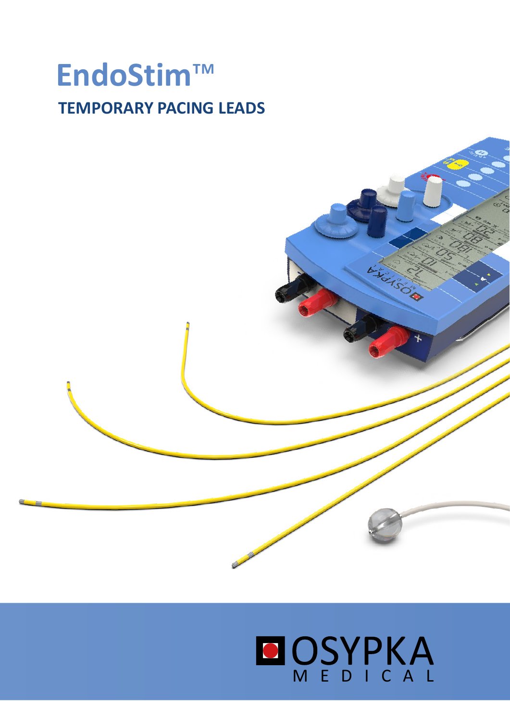## EndoStim™ **TEMPORARY PACING LEADS**

# **OSYPKA**

it sore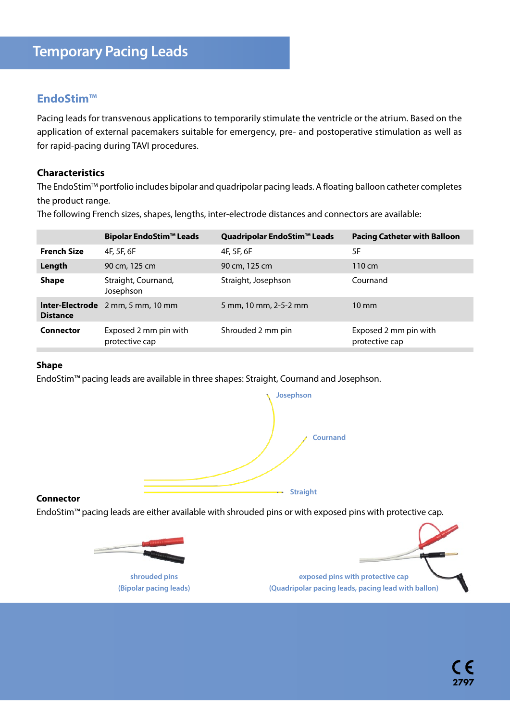#### **EndoStim™**

Pacing leads for transvenous applications to temporarily stimulate the ventricle or the atrium. Based on the application of external pacemakers suitable for emergency, pre- and postoperative stimulation as well as for rapid-pacing during TAVI procedures.

#### **Characteristics**

The EndoStim™ portfolio includes bipolar and quadripolar pacing leads. A floating balloon catheter completes the product range.

The following French sizes, shapes, lengths, inter-electrode distances and connectors are available:

|                    | <b>Bipolar EndoStim™ Leads</b>           | Quadripolar EndoStim™ Leads | <b>Pacing Catheter with Balloon</b>     |
|--------------------|------------------------------------------|-----------------------------|-----------------------------------------|
| <b>French Size</b> | 4F, 5F, 6F                               | 4F, 5F, 6F                  | 5F                                      |
| Length             | 90 cm, 125 cm                            | 90 cm, 125 cm               | $110 \text{ cm}$                        |
| <b>Shape</b>       | Straight, Cournand,<br>Josephson         | Straight, Josephson         | Cournand                                |
| <b>Distance</b>    | <b>Inter-Electrode</b> 2 mm, 5 mm, 10 mm | 5 mm, 10 mm, 2-5-2 mm       | $10 \text{ mm}$                         |
| Connector          | Exposed 2 mm pin with<br>protective cap  | Shrouded 2 mm pin           | Exposed 2 mm pin with<br>protective cap |

#### **Shape**

EndoStim™ pacing leads are available in three shapes: Straight, Cournand and Josephson.



#### **Connector**

EndoStim™ pacing leads are either available with shrouded pins or with exposed pins with protective cap.



**shrouded pins (Bipolar pacing leads)**

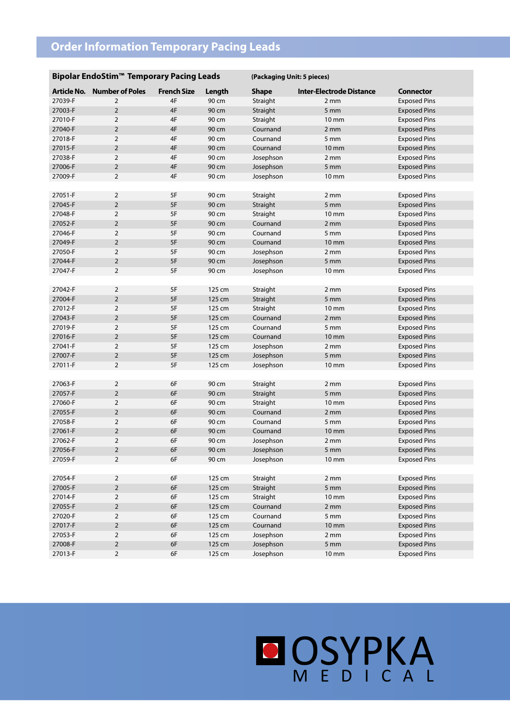### **Order Information Temporary Pacing Leads**

#### **Bipolar EndoStim™ Temporary Pacing Leads (Packaging Unit: 5 pieces)**

| <b>Article No.</b> | <b>Number of Poles</b> | <b>French Size</b> | Length | <b>Shape</b> | <b>Inter-Electrode Distance</b> | <b>Connector</b>    |  |
|--------------------|------------------------|--------------------|--------|--------------|---------------------------------|---------------------|--|
| 27039-F            | $\overline{2}$         | 4F                 | 90 cm  | Straight     | 2 mm                            | <b>Exposed Pins</b> |  |
| 27003-F            | $\overline{2}$         | 4F                 | 90 cm  | Straight     | 5 mm                            | <b>Exposed Pins</b> |  |
| 27010-F            | $\overline{2}$         | 4F                 | 90 cm  | Straight     | 10 mm                           | <b>Exposed Pins</b> |  |
| 27040-F            | $\overline{2}$         | 4F                 | 90 cm  | Cournand     | 2 mm                            | <b>Exposed Pins</b> |  |
| 27018-F            | $\overline{2}$         | 4F                 | 90 cm  | Cournand     | 5 mm                            | <b>Exposed Pins</b> |  |
| 27015-F            | $\overline{2}$         | 4F                 | 90 cm  | Cournand     | 10 mm                           | <b>Exposed Pins</b> |  |
| 27038-F            | $\overline{2}$         | 4F                 | 90 cm  | Josephson    | 2 mm                            | <b>Exposed Pins</b> |  |
| 27006-F            | $\overline{2}$         | 4F                 | 90 cm  | Josephson    | 5 mm                            | <b>Exposed Pins</b> |  |
| 27009-F            | $\overline{2}$         | 4F                 | 90 cm  | Josephson    | $10 \, \text{mm}$               | <b>Exposed Pins</b> |  |
|                    |                        |                    |        |              |                                 |                     |  |
| 27051-F            | $\overline{2}$         | 5F                 | 90 cm  | Straight     | 2 mm                            | <b>Exposed Pins</b> |  |
| 27045-F            | $\overline{2}$         | $5F$               | 90 cm  | Straight     | 5 <sub>mm</sub>                 | <b>Exposed Pins</b> |  |
| 27048-F            | $\overline{2}$         | 5F                 | 90 cm  | Straight     | $10 \, \text{mm}$               | <b>Exposed Pins</b> |  |
| 27052-F            | $\overline{2}$         | 5F                 | 90 cm  | Cournand     | 2 mm                            | <b>Exposed Pins</b> |  |
| 27046-F            | $\overline{2}$         | 5F                 | 90 cm  | Cournand     | 5 mm                            | <b>Exposed Pins</b> |  |
| 27049-F            | $\overline{2}$         | 5F                 | 90 cm  | Cournand     | 10 mm                           | <b>Exposed Pins</b> |  |
| 27050-F            | $\overline{2}$         | 5F                 | 90 cm  | Josephson    | 2 mm                            | <b>Exposed Pins</b> |  |
| 27044-F            | $\overline{2}$         | 5F                 | 90 cm  | Josephson    | 5 mm                            | <b>Exposed Pins</b> |  |
| 27047-F            | $\overline{2}$         | 5F                 | 90 cm  | Josephson    | 10 mm                           | <b>Exposed Pins</b> |  |
|                    |                        |                    |        |              |                                 |                     |  |
| 27042-F            | $\overline{2}$         | 5F                 | 125 cm | Straight     | 2 mm                            | <b>Exposed Pins</b> |  |
| 27004-F            | $\overline{2}$         | 5F                 | 125 cm | Straight     | 5 mm                            | <b>Exposed Pins</b> |  |
| 27012-F            | $\overline{2}$         | 5F                 | 125 cm | Straight     | 10 mm                           | <b>Exposed Pins</b> |  |
| 27043-F            | $\overline{2}$         | 5F                 | 125 cm | Cournand     | $2 \, \text{mm}$                | <b>Exposed Pins</b> |  |
| 27019-F            | $\overline{2}$         | 5F                 | 125 cm | Cournand     | 5 mm                            | <b>Exposed Pins</b> |  |
| 27016-F            | $\overline{2}$         | 5F                 | 125 cm | Cournand     | 10 mm                           | <b>Exposed Pins</b> |  |
| 27041-F            | $\mathbf 2$            | 5F                 | 125 cm | Josephson    | 2 mm                            | <b>Exposed Pins</b> |  |
| 27007-F            | $\overline{2}$         | 5F                 | 125 cm | Josephson    | 5 mm                            | <b>Exposed Pins</b> |  |
| 27011-F            | $\overline{2}$         | 5F                 | 125 cm | Josephson    | 10 mm                           | <b>Exposed Pins</b> |  |
|                    |                        |                    |        |              |                                 |                     |  |
| 27063-F            | $\overline{2}$         | 6F                 | 90 cm  | Straight     | 2 mm                            | <b>Exposed Pins</b> |  |
| 27057-F            | $\overline{2}$         | 6F                 | 90 cm  | Straight     | 5 mm                            | <b>Exposed Pins</b> |  |
| 27060-F            | $\overline{2}$         | 6F                 | 90 cm  | Straight     | 10 mm                           | <b>Exposed Pins</b> |  |
| 27055-F            | $\mathbf 2$            | 6F                 | 90 cm  | Cournand     | 2 mm                            | <b>Exposed Pins</b> |  |
| 27058-F            | $\overline{2}$         | 6F                 | 90 cm  | Cournand     | 5 mm                            | <b>Exposed Pins</b> |  |
| 27061-F            | $\overline{2}$         | 6F                 | 90 cm  | Cournand     | 10 mm                           | <b>Exposed Pins</b> |  |
| 27062-F            | $\overline{2}$         | 6F                 | 90 cm  | Josephson    | 2 mm                            | <b>Exposed Pins</b> |  |
| 27056-F            | $\overline{2}$         | 6F                 | 90 cm  | Josephson    | 5 <sub>mm</sub>                 | <b>Exposed Pins</b> |  |
| 27059-F            | $\overline{2}$         | 6F                 | 90 cm  | Josephson    | 10 mm                           | <b>Exposed Pins</b> |  |
|                    |                        |                    |        |              |                                 |                     |  |
| 27054-F            | $\overline{2}$         | 6F                 | 125 cm | Straight     | 2 mm                            | <b>Exposed Pins</b> |  |
| 27005-F            | $\overline{2}$         | 6F                 | 125 cm | Straight     | 5 mm                            | <b>Exposed Pins</b> |  |
| 27014-F            | $\overline{2}$         | 6F                 | 125 cm | Straight     | 10 mm                           | <b>Exposed Pins</b> |  |
| 27055-F            | $\overline{2}$         | 6F                 | 125 cm | Cournand     | 2 mm                            | <b>Exposed Pins</b> |  |
| 27020-F            | $\sqrt{2}$             | 6F                 | 125 cm | Cournand     | $5 \, \text{mm}$                | <b>Exposed Pins</b> |  |
| 27017-F            | $\overline{2}$         | 6F                 | 125 cm | Cournand     | $10 \, \text{mm}$               | <b>Exposed Pins</b> |  |
| 27053-F            | $\overline{2}$         | 6F                 | 125 cm | Josephson    | 2 mm                            | <b>Exposed Pins</b> |  |
| 27008-F            | $\overline{2}$         | 6F                 | 125 cm | Josephson    | 5 <sub>mm</sub>                 | <b>Exposed Pins</b> |  |
| 27013-F            | $\overline{2}$         | 6F                 | 125 cm | Josephson    | 10 mm                           | <b>Exposed Pins</b> |  |